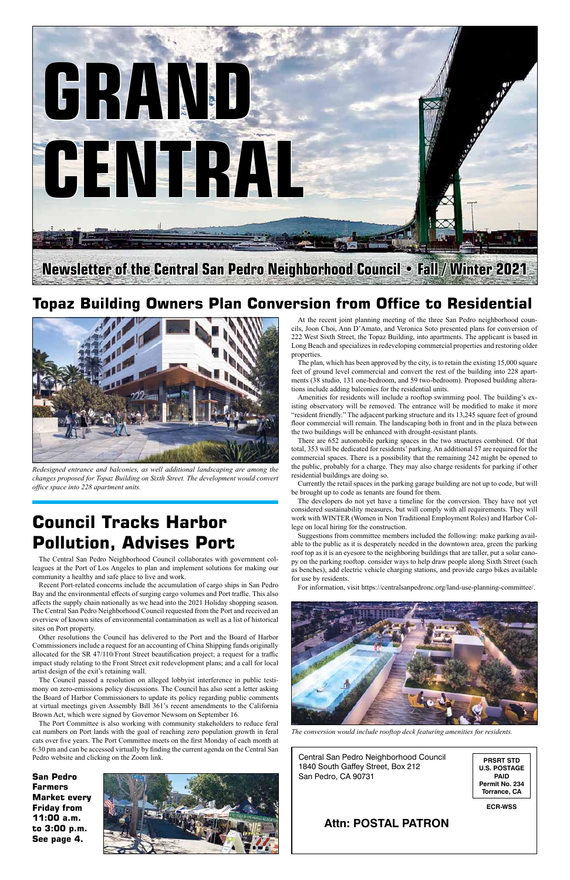Central San Pedro Neighborhood Council 1840 South Gaffey Street, Box 212 San Pedro, CA 90731

### **Attn: POSTAL PATRON**

**PRSRT STD U.S. POSTAGE PAID Permit No. 234 Torrance, CA**

**ECR-WSS**

## **Council Tracks Harbor Pollution, Advises Port**

The Central San Pedro Neighborhood Council collaborates with government colleagues at the Port of Los Angeles to plan and implement solutions for making our community a healthy and safe place to live and work.

Recent Port-related concerns include the accumulation of cargo ships in San Pedro Bay and the environmental effects of surging cargo volumes and Port traffic. This also affects the supply chain nationally as we head into the 2021 Holiday shopping season. The Central San Pedro Neighborhood Council requested from the Port and received an overview of known sites of environmental contamination as well as a list of historical sites on Port property.

Other resolutions the Council has delivered to the Port and the Board of Harbor missioners include a request for an accounting of China Shipping funds originally allocated for the SR 47/110/Front Street beautification project; a request for a traffic impact study relating to the Front Street exit redevelopment plans; and a call for local artist design of the exit's retaining wall.

The Council passed a resolution on alleged lobbyist interference in public testimony on zero-emissions policy discussions. The Council has also sent a letter asking the Board of Harbor Commissioners to update its policy regarding public comments at virtual meetings given Assembly Bill 361's recent amendments to the California Brown Act, which were signed by Governor Newsom on September 16.

The Port Committee is also working with community stakeholders to reduce feral cat numbers on Port lands with the goal of reaching zero population growth in feral cats over five years. The Port Committee meets on the first Monday of each month at 6:30 pm and can be accessed virtually by finding the current agenda on the Central San Pedro website and clicking on the Zoom link.

### **Topaz Building Owners Plan Conversion from Office to Residential**



At the recent joint planning meeting of the three San Pedro neighborhood councils, Joon Choi, Ann D'Amato, and Veronica Soto presented plans for conversion of 222 West Sixth Street, the Topaz Building, into apartments. The applicant is based in Long Beach and specializes in redeveloping commercial properties and restoring older properties.

The plan, which has been approved by the city, is to retain the existing 15,000 square feet of ground level commercial and convert the rest of the building into 228 apartments (38 studio, 131 one-bedroom, and 59 two-bedroom). Proposed building alterations include adding balconies for the residential units.

Amenities for residents will include a rooftop swimming pool. The building's existing observatory will be removed. The entrance will be modified to make it more "resident friendly." The adjacent parking structure and its 13,245 square feet of ground floor commercial will remain. The landscaping both in front and in the plaza between the two buildings will be enhanced with drought-resistant plants.

There are 652 automobile parking spaces in the two structures combined. Of that total, 353 will be dedicated for residents' parking. An additional 57 are required for the commercial spaces. There is a possibility that the remaining 242 might be opened to the public, probably for a charge. They may also charge residents for parking if other residential buildings are doing so.

Currently the retail spaces in the parking garage building are not up to code, but will be brought up to code as tenants are found for them.

The developers do not yet have a timeline for the conversion. They have not yet considered sustainability measures, but will comply with all requirements. They will work with WINTER (Women in Non Traditional Employment Roles) and Harbor College on local hiring for the construction.

Suggestions from committee members included the following: make parking available to the public as it is desperately needed in the downtown area, green the parking roof top as it is an eyesore to the neighboring buildings that are taller, put a solar canopy on the parking rooftop. consider ways to help draw people along Sixth Street (such as benches), add electric vehicle charging stations, and provide cargo bikes available for use by residents.

For information, visit https://centralsanpedronc.org/land-use-planning-committee/.





*Redesigned entrance and balconies, as well additional landscaping are among the changes proposed for Topaz Building on Sixth Street. The development would convert office space into 228 apartment units.*



*The conversion would include rooftop deck featuring amenities for residents.*

**San Pedro Farmers Market every Friday from 11:00 a.m. to 3:00 p.m. See page 4.**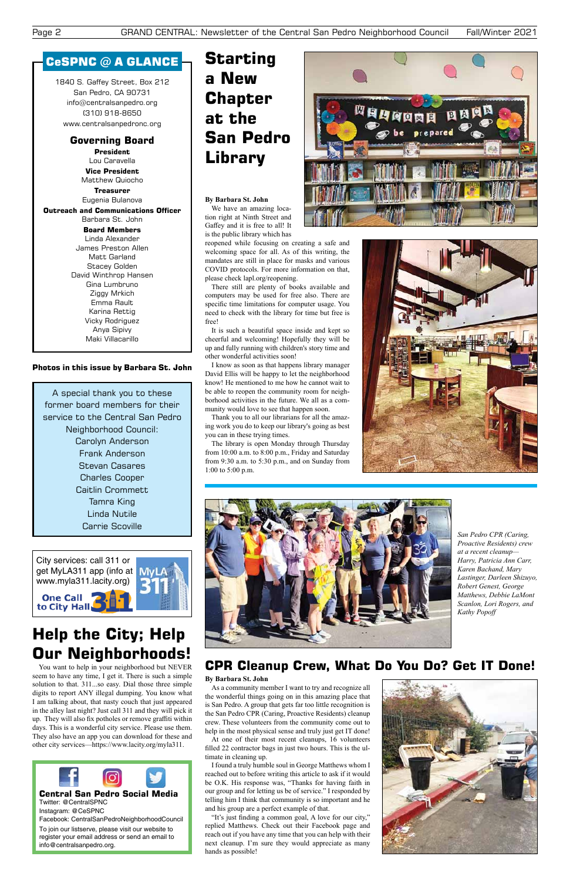City services: call 311 or get MyLA311 app (info at My www.myla311.lacity.org) **One Call** to City Hall



1840 S. Gaffey Street, Box 212 San Pedro, CA 90731 info@centralsanpedro.org (310) 918-8650 www.centralsanpedronc.org

### **Governing Board**

**President** Lou Caravella **Vice President**

Matthew Quiocho **Treasurer**

Eugenia Bulanova

**Outreach and Communications Officer** Barbara St. John

**Board Members** Linda Alexander

James Preston Allen Matt Garland Stacey Golden David Winthrop Hansen Gina Lumbruno Ziggy Mrkich Emma Rault Karina Rettig Vicky Rodriguez Anya Sipivy Maki Villacarillo

### CeSPNC @ A GLANCE

A special thank you to these former board members for their service to the Central San Pedro Neighborhood Council: Carolyn Anderson Frank Anderson Stevan Casares Charles Cooper Caitlin Crommett Tamra King Linda Nutile Carrie Scoville

> As a community member I want to try and recognize all the wonderful things going on in this amazing place that is San Pedro. A group that gets far too little recognition is the San Pedro CPR (Caring, Proactive Residents) cleanup crew. These volunteers from the community come out to help in the most physical sense and truly just get IT done!

# **Help the City; Help**

### **Our Neighborhoods!**

You want to help in your neighborhood but NEVER seem to have any time, I get it. There is such a simple solution to that. 311...so easy. Dial those three simple digits to report ANY illegal dumping. You know what I am talking about, that nasty couch that just appeared in the alley last night? Just call 311 and they will pick it up. They will also fix potholes or remove graffiti within days. This is a wonderful city service. Please use them. They also have an app you can download for these and other city services—https://www.lacity.org/myla311.

### **Photos in this issue by Barbara St. John**

### **CPR Cleanup Crew, What Do You Do? Get IT Done!**



*San Pedro CPR (Caring, Proactive Residents) crew at a recent cleanup— Harry, Patricia Ann Carr, Karen Bachand, Mary Lastinger, Darleen Shizuyo, Robert Genest, George Matthews, Debbie LaMont Scanlon, Lori Rogers, and Kathy Popoff*

#### **By Barbara St. John**

At one of their most recent cleanups, 16 volunteers filled 22 contractor bags in just two hours. This is the ultimate in cleaning up.

I found a truly humble soul in George Matthews whom I reached out to before writing this article to ask if it would be O.K. His response was, "Thanks for having faith in our group and for letting us be of service." I responded by telling him I think that community is so important and he and his group are a perfect example of that.

"It's just finding a common goal, A love for our city," replied Matthews. Check out their Facebook page and reach out if you have any time that you can help with their next cleanup. I'm sure they would appreciate as many hands as possible!



#### **By Barbara St. John**

We have an amazing location right at Ninth Street and Gaffey and it is free to all! It is the public library which has

reopened while focusing on creating a safe and welcoming space for all. As of this writing, the mandates are still in place for masks and various COVID protocols. For more information on that, please check lapl.org/reopening.

There still are plenty of books available and computers may be used for free also. There are specific time limitations for computer usage. You need to check with the library for time but free is free!

It is such a beautiful space inside and kept so cheerful and welcoming! Hopefully they will be up and fully running with children's story time and other wonderful activities soon!

I know as soon as that happens library manager David Ellis will be happy to let the neighborhood know! He mentioned to me how he cannot wait to be able to reopen the community room for neighborhood activities in the future. We all as a community would love to see that happen soon.

Thank you to all our librarians for all the amazing work you do to keep our library's going as best you can in these trying times.

The library is open Monday through Thursday from 10:00 a.m. to 8:00 p.m., Friday and Saturday from 9:30 a.m. to 5:30 p.m., and on Sunday from 1:00 to 5:00 p.m.





# **Starting a New Chapter at the San Pedro Library**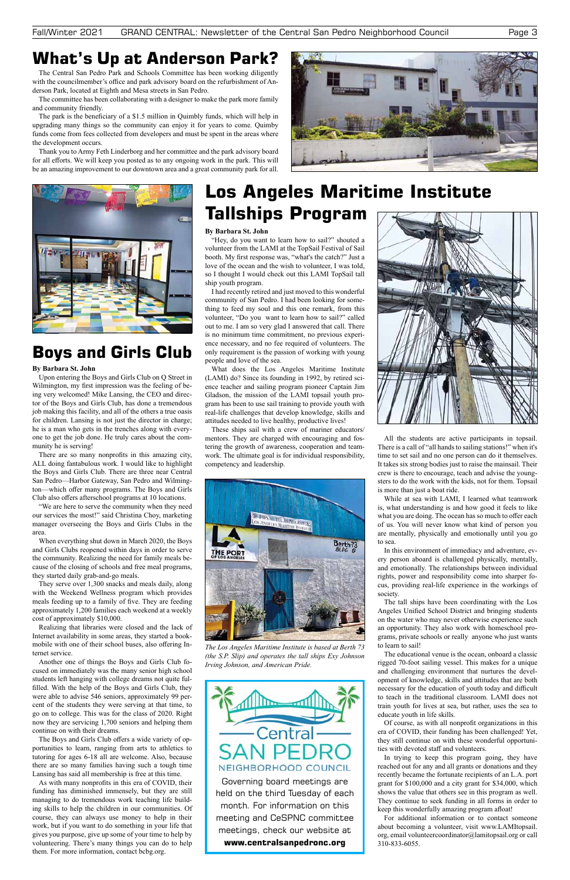Governing board meetings are held on the third Tuesday of each month. For information on this meeting and CeSPNC committee meetings, check our website at **www.centralsanpedronc.org**

## **What's Up at Anderson Park?**

The Central San Pedro Park and Schools Committee has been working diligently with the councilmember's office and park advisory board on the refurbishment of Anderson Park, located at Eighth and Mesa streets in San Pedro.

The committee has been collaborating with a designer to make the park more family and community friendly.

The park is the beneficiary of a \$1.5 million in Quimbly funds, which will help in upgrading many things so the community can enjoy it for years to come. Quimby funds come from fees collected from developers and must be spent in the areas where the development occurs.

Thank you to Army Feth Linderborg and her committee and the park advisory board for all efforts. We will keep you posted as to any ongoing work in the park. This will be an amazing improvement to our downtown area and a great community park for all.





# **Boys and Girls Club**

#### **By Barbara St. John**

Upon entering the Boys and Girls Club on Q Street in Wilmington, my first impression was the feeling of being very welcomed! Mike Lansing, the CEO and director of the Boys and Girls Club, has done a tremendous job making this facility, and all of the others a true oasis for children. Lansing is not just the director in charge; he is a man who gets in the trenches along with everyone to get the job done. He truly cares about the community he is serving!

There are so many nonprofits in this amazing city, ALL doing fantabulous work. I would like to highlight the Boys and Girls Club. There are three near Central San Pedro—Harbor Gateway, San Pedro and Wilmington—which offer many programs. The Boys and Girls Club also offers afterschool programs at 10 locations.

"We are here to serve the community when they need our services the most!" said Christina Choy, marketing manager overseeing the Boys and Girls Clubs in the area.

When everything shut down in March 2020, the Boys and Girls Clubs reopened within days in order to serve the community. Realizing the need for family meals because of the closing of schools and free meal programs, they started daily grab-and-go meals.

They serve over 1,300 snacks and meals daily, along with the Weekend Wellness program which provides meals feeding up to a family of five. They are feeding approximately 1,200 families each weekend at a weekly cost of approximately \$10,000.

Realizing that libraries were closed and the lack of Internet availability in some areas, they started a bookmobile with one of their school buses, also offering In-

ternet service.

Another one of things the Boys and Girls Club focused on immediately was the many senior high school students left hanging with college dreams not quite fulfilled. With the help of the Boys and Girls Club, they were able to advise 546 seniors, approximately 99 percent of the students they were serving at that time, to go on to college. This was for the class of 2020. Right now they are servicing 1,700 seniors and helping them continue on with their dreams.

The Boys and Girls Club offers a wide variety of opportunities to learn, ranging from arts to athletics to tutoring for ages 6-18 all are welcome. Also, because there are so many families having such a tough time Lansing has said all membership is free at this time.

As with many nonprofits in this era of COVID, their funding has diminished immensely, but they are still managing to do tremendous work teaching life building skills to help the children in our communities. Of course, they can always use money to help in their work, but if you want to do something in your life that gives you purpose, give up some of your time to help by volunteering. There's many things you can do to help them. For more information, contact bcbg.org.

#### **By Barbara St. John**

"Hey, do you want to learn how to sail?" shouted a volunteer from the LAMI at the TopSail Festival of Sail booth. My first response was, "what's the catch?" Just a love of the ocean and the wish to volunteer, I was told, so I thought I would check out this LAMI TopSail tall ship youth program.

I had recently retired and just moved to this wonderful community of San Pedro. I had been looking for something to feed my soul and this one remark, from this volunteer, "Do you want to learn how to sail?" called out to me. I am so very glad I answered that call. There is no minimum time commitment, no previous experience necessary, and no fee required of volunteers. The only requirement is the passion of working with young people and love of the sea.

What does the Los Angeles Maritime Institute (LAMI) do? Since its founding in 1992, by retired science teacher and sailing program pioneer Captain Jim Gladson, the mission of the LAMI topsail youth program has been to use sail training to provide youth with real-life challenges that develop knowledge, skills and attitudes needed to live healthy, productive lives!

These ships sail with a crew of mariner educators/ mentors. They are charged with encouraging and fostering the growth of awareness, cooperation and teamwork. The ultimate goal is for individual responsibility, competency and leadership.





## **Los Angeles Maritime Institute Tallships Program**

All the students are active participants in topsail. There is a call of "all hands to sailing stations!" when it's time to set sail and no one person can do it themselves. It takes six strong bodies just to raise the mainsail. Their crew is there to encourage, teach and advise the youngsters to do the work with the kids, not for them. Topsail is more than just a boat ride.

While at sea with LAMI, I learned what teamwork is, what understanding is and how good it feels to like what you are doing. The ocean has so much to offer each of us. You will never know what kind of person you are mentally, physically and emotionally until you go to sea.

In this environment of immediacy and adventure, every person aboard is challenged physically, mentally, and emotionally. The relationships between individual rights, power and responsibility come into sharper focus, providing real-life experience in the workings of society.

The tall ships have been coordinating with the Los Angeles Unified School District and bringing students on the water who may never otherwise experience such an opportunity. They also work with homeschool programs, private schools or really anyone who just wants to learn to sail!

The educational venue is the ocean, onboard a classic rigged 70-foot sailing vessel. This makes for a unique and challenging environment that nurtures the development of knowledge, skills and attitudes that are both necessary for the education of youth today and difficult to teach in the traditional classroom. LAMI does not train youth for lives at sea, but rather, uses the sea to educate youth in life skills.

Of course, as with all nonprofit organizations in this era of COVID, their funding has been challenged! Yet, they still continue on with these wonderful opportunities with devoted staff and volunteers.

In trying to keep this program going, they have reached out for any and all grants or donations and they recently became the fortunate recipients of an L.A. port grant for \$100,000 and a city grant for \$34,000, which shows the value that others see in this program as well. They continue to seek funding in all forms in order to keep this wonderfully amazing program afloat!

For additional information or to contact someone about becoming a volunteer, visit www.LAMItopsail. org, email volunteercoordinator@lamitopsail.org or call 310-833-6055.

*The Los Angeles Maritime Institute is based at Berth 73 (the S.P. Slip) and operates the tall ships Exy Johnson Irving Johnson, and American Pride.*